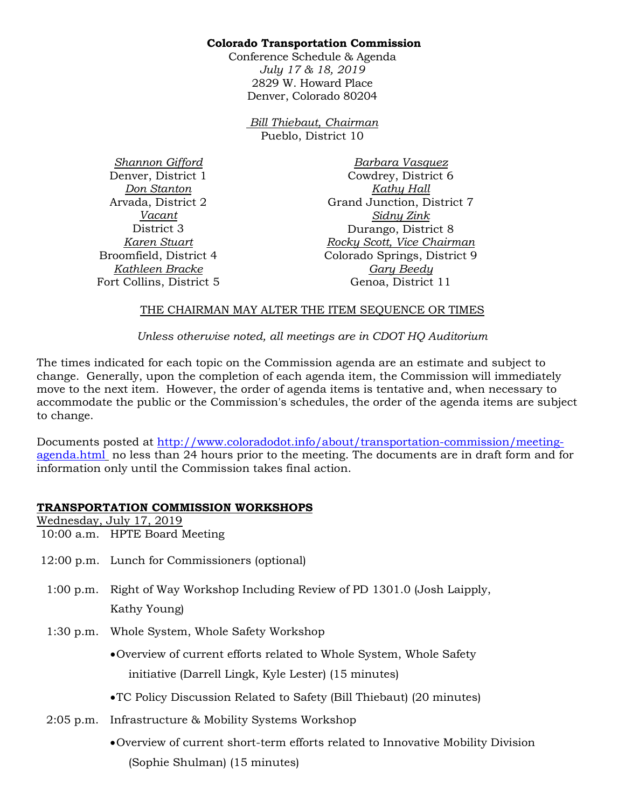### **Colorado Transportation Commission**

Conference Schedule & Agenda *July 17 & 18, 2019*  2829 W. Howard Place Denver, Colorado 80204

> *Bill Thiebaut, Chairman* Pueblo, District 10

*Shannon Gifford* Denver, District 1 *Don Stanton* Arvada, District 2 *Vacant* District 3 *Karen Stuart* Broomfield, District 4 *Kathleen Bracke* Fort Collins, District 5

*Barbara Vasquez* Cowdrey, District 6 *Kathy Hall* Grand Junction, District 7 *Sidny Zink* Durango, District 8 *Rocky Scott, Vice Chairman* Colorado Springs, District 9 *Gary Beedy* Genoa, District 11

#### THE CHAIRMAN MAY ALTER THE ITEM SEQUENCE OR TIMES

*Unless otherwise noted, all meetings are in CDOT HQ Auditorium*

The times indicated for each topic on the Commission agenda are an estimate and subject to change. Generally, upon the completion of each agenda item, the Commission will immediately move to the next item. However, the order of agenda items is tentative and, when necessary to accommodate the public or the Commission's schedules, the order of the agenda items are subject to change.

Documents posted at [http://www.coloradodot.info/about/transportation-commission/meeting](http://www.coloradodot.info/about/transportation-commission/meeting-agenda.html)[agenda.html](http://www.coloradodot.info/about/transportation-commission/meeting-agenda.html) no less than 24 hours prior to the meeting. The documents are in draft form and for information only until the Commission takes final action.

## **TRANSPORTATION COMMISSION WORKSHOPS**

Wednesday, July 17, 2019 10:00 a.m. HPTE Board Meeting

- 12:00 p.m. Lunch for Commissioners (optional)
- 1:00 p.m. Right of Way Workshop Including Review of PD 1301.0 (Josh Laipply, Kathy Young)
- 1:30 p.m. Whole System, Whole Safety Workshop
	- •Overview of current efforts related to Whole System, Whole Safety initiative (Darrell Lingk, Kyle Lester) (15 minutes)
	- •TC Policy Discussion Related to Safety (Bill Thiebaut) (20 minutes)
- 2:05 p.m. Infrastructure & Mobility Systems Workshop
	- •Overview of current short-term efforts related to Innovative Mobility Division (Sophie Shulman) (15 minutes)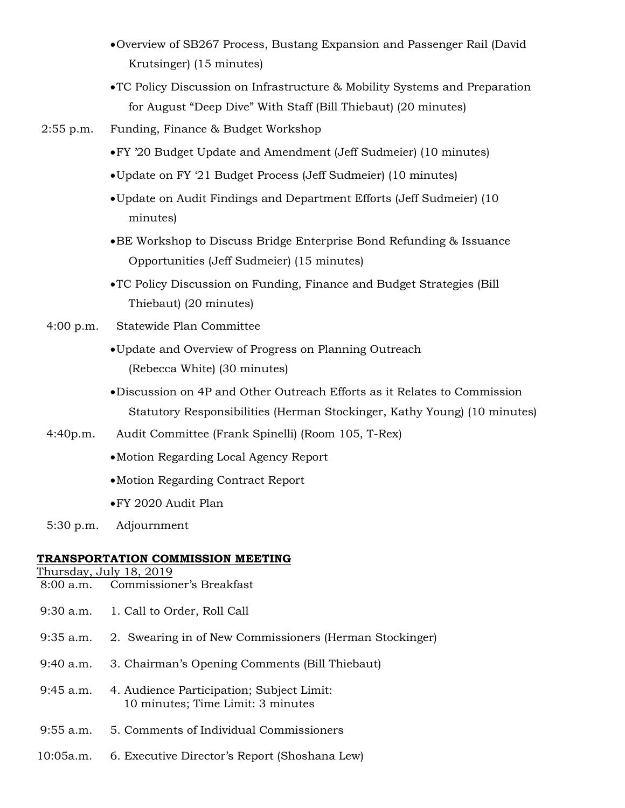- •Overview of SB267 Process, Bustang Expansion and Passenger Rail (David Krutsinger) (15 minutes)
- •TC Policy Discussion on Infrastructure & Mobility Systems and Preparation for August "Deep Dive" With Staff (Bill Thiebaut) (20 minutes)
- 2:55 p.m. Funding, Finance & Budget Workshop
	- •FY '20 Budget Update and Amendment (Jeff Sudmeier) (10 minutes)
	- •Update on FY '21 Budget Process (Jeff Sudmeier) (10 minutes)
	- •Update on Audit Findings and Department Efforts (Jeff Sudmeier) (10 minutes)
	- •BE Workshop to Discuss Bridge Enterprise Bond Refunding & Issuance Opportunities (Jeff Sudmeier) (15 minutes)
	- •TC Policy Discussion on Funding, Finance and Budget Strategies (Bill Thiebaut) (20 minutes)
- 4:00 p.m. Statewide Plan Committee
	- •Update and Overview of Progress on Planning Outreach (Rebecca White) (30 minutes)
	- •Discussion on 4P and Other Outreach Efforts as it Relates to Commission Statutory Responsibilities (Herman Stockinger, Kathy Young) (10 minutes)
- 4:40p.m. Audit Committee (Frank Spinelli) (Room 105, T-Rex)
	- •Motion Regarding Local Agency Report
	- •Motion Regarding Contract Report
	- •FY 2020 Audit Plan
- 5:30 p.m. Adjournment

## **TRANSPORTATION COMMISSION MEETING**

Thursday, July 18, 2019

- 8:00 a.m. Commissioner's Breakfast
- 9:30 a.m. 1. Call to Order, Roll Call
- 9:35 a.m. 2. Swearing in of New Commissioners (Herman Stockinger)
- 9:40 a.m. 3. Chairman's Opening Comments (Bill Thiebaut)
- 9:45 a.m. 4. Audience Participation; Subject Limit: 10 minutes; Time Limit: 3 minutes
- 9:55 a.m. 5. Comments of Individual Commissioners
- 10:05a.m. 6. Executive Director's Report (Shoshana Lew)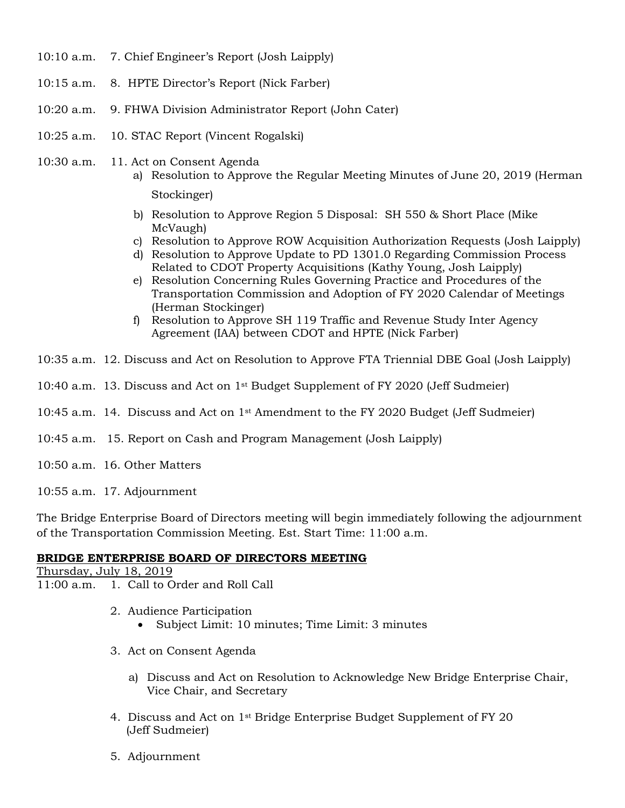- 10:10 a.m. 7. Chief Engineer's Report (Josh Laipply)
- 10:15 a.m. 8. HPTE Director's Report (Nick Farber)
- 10:20 a.m. 9. FHWA Division Administrator Report (John Cater)
- 10:25 a.m. 10. STAC Report (Vincent Rogalski)
- 10:30 a.m. 11. Act on Consent Agenda
	- a) Resolution to Approve the Regular Meeting Minutes of June 20, 2019 (Herman Stockinger)
	- b) Resolution to Approve Region 5 Disposal: SH 550 & Short Place (Mike McVaugh)
	- c) Resolution to Approve ROW Acquisition Authorization Requests (Josh Laipply)
	- d) Resolution to Approve Update to PD 1301.0 Regarding Commission Process Related to CDOT Property Acquisitions (Kathy Young, Josh Laipply)
	- e) Resolution Concerning Rules Governing Practice and Procedures of the Transportation Commission and Adoption of FY 2020 Calendar of Meetings (Herman Stockinger)
	- f) Resolution to Approve SH 119 Traffic and Revenue Study Inter Agency Agreement (IAA) between CDOT and HPTE (Nick Farber)
- 10:35 a.m. 12. Discuss and Act on Resolution to Approve FTA Triennial DBE Goal (Josh Laipply)
- 10:40 a.m. 13. Discuss and Act on 1st Budget Supplement of FY 2020 (Jeff Sudmeier)
- 10:45 a.m. 14. Discuss and Act on  $1^{st}$  Amendment to the FY 2020 Budget (Jeff Sudmeier)
- 10:45 a.m. 15. Report on Cash and Program Management (Josh Laipply)
- 10:50 a.m. 16. Other Matters
- 10:55 a.m. 17. Adjournment

The Bridge Enterprise Board of Directors meeting will begin immediately following the adjournment of the Transportation Commission Meeting. Est. Start Time: 11:00 a.m.

#### **BRIDGE ENTERPRISE BOARD OF DIRECTORS MEETING**

Thursday, July 18, 2019 11:00 a.m. 1. Call to Order and Roll Call

- 2. Audience Participation
	- Subject Limit: 10 minutes; Time Limit: 3 minutes
- 3. Act on Consent Agenda
	- a) Discuss and Act on Resolution to Acknowledge New Bridge Enterprise Chair, Vice Chair, and Secretary
- 4. Discuss and Act on  $1^{st}$  Bridge Enterprise Budget Supplement of FY 20 (Jeff Sudmeier)
- 5. Adjournment